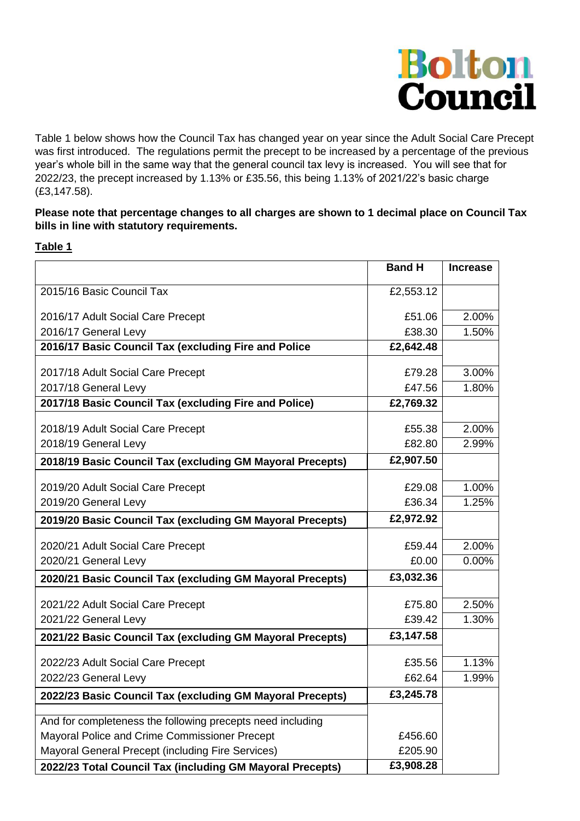

Table 1 below shows how the Council Tax has changed year on year since the Adult Social Care Precept was first introduced. The regulations permit the precept to be increased by a percentage of the previous year's whole bill in the same way that the general council tax levy is increased. You will see that for 2022/23, the precept increased by 1.13% or £35.56, this being 1.13% of 2021/22's basic charge (£3,147.58).

### **Please note that percentage changes to all charges are shown to 1 decimal place on Council Tax bills in line with statutory requirements.**

### **Table 1**

|                                                            | <b>Band H</b>        | <b>Increase</b> |
|------------------------------------------------------------|----------------------|-----------------|
| 2015/16 Basic Council Tax                                  | £2,553.12            |                 |
|                                                            |                      |                 |
| 2016/17 Adult Social Care Precept                          | £51.06               | 2.00%           |
| 2016/17 General Levy                                       | £38.30               | 1.50%           |
| 2016/17 Basic Council Tax (excluding Fire and Police       | £2,642.48            |                 |
| 2017/18 Adult Social Care Precept                          | £79.28               | 3.00%           |
| 2017/18 General Levy                                       | £47.56               | 1.80%           |
| 2017/18 Basic Council Tax (excluding Fire and Police)      | £2,769.32            |                 |
| 2018/19 Adult Social Care Precept                          | £55.38               | 2.00%           |
| 2018/19 General Levy                                       | £82.80               | 2.99%           |
| 2018/19 Basic Council Tax (excluding GM Mayoral Precepts)  | £2,907.50            |                 |
|                                                            |                      |                 |
| 2019/20 Adult Social Care Precept                          | £29.08               | 1.00%           |
| 2019/20 General Levy                                       | £36.34               | 1.25%           |
| 2019/20 Basic Council Tax (excluding GM Mayoral Precepts)  | £2,972.92            |                 |
| 2020/21 Adult Social Care Precept                          | £59.44               | 2.00%           |
| 2020/21 General Levy                                       | £0.00                | 0.00%           |
| 2020/21 Basic Council Tax (excluding GM Mayoral Precepts)  | £3,032.36            |                 |
|                                                            |                      |                 |
| 2021/22 Adult Social Care Precept                          | £75.80               | 2.50%           |
| 2021/22 General Levy                                       | £39.42               | 1.30%           |
| 2021/22 Basic Council Tax (excluding GM Mayoral Precepts)  | £3,147.58            |                 |
| 2022/23 Adult Social Care Precept                          | £35.56               | 1.13%           |
| 2022/23 General Levy                                       | £62.64               | 1.99%           |
| 2022/23 Basic Council Tax (excluding GM Mayoral Precepts)  | £3,245.78            |                 |
|                                                            |                      |                 |
| And for completeness the following precepts need including |                      |                 |
| Mayoral Police and Crime Commissioner Precept              | £456.60              |                 |
| Mayoral General Precept (including Fire Services)          | £205.90<br>£3,908.28 |                 |
| 2022/23 Total Council Tax (including GM Mayoral Precepts)  |                      |                 |